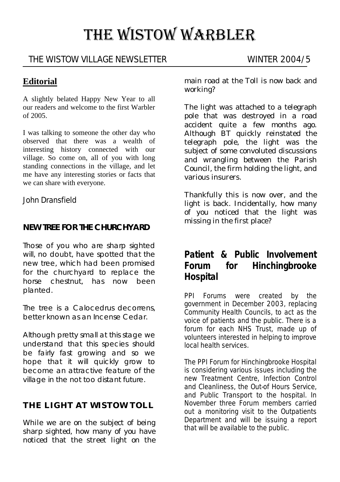# THE WISTOW WARBLER

#### THE WISTOW VILLAGE NEWSLETTER WINTER 2004/5

#### **Editorial**

A slightly belated Happy New Year to all our readers and welcome to the first Warbler of 2005.

I was talking to someone the other day who observed that there was a wealth of interesting history connected with our village. So come on, all of you with long standing connections in the village, and let me have any interesting stories or facts that we can share with everyone.

John Dransfield

#### **NEW TREE FOR THE CHURCHYARD**

Those of you who are sharp sighted will, no doubt, have spotted that the new tree, which had been promised for the churchyard to replace the horse chestnut, has now been planted.

The tree is a *Calocedrus decorrens*, better known as an Incense Cedar.

Although pretty small at this stage we understand that this species should be fairly fast growing and so we hope that it will quickly grow to become an attractive feature of the village in the not too distant future.

#### **THE LIGHT AT WISTOW TOLL**

While we are on the subject of being sharp sighted, how many of you have noticed that the street light on the

main road at the Toll is now back and working?

The light was attached to a telegraph pole that was destroyed in a road accident quite a few months ago. Although BT quickly reinstated the telegraph pole, the light was the subject of some convoluted discussions and wrangling between the Parish Council, the firm holding the light, and various insurers.

Thankfully this is now over, and the light is back. Incidentally, how many of you noticed that the light was missing in the first place?

## **Patient & Public Involvement Forum for Hinchingbrooke Hospital**

PPI Forums were created by the government in December 2003, replacing Community Health Councils, to act as the voice of patients and the public. There is a forum for each NHS Trust, made up of volunteers interested in helping to improve local health services.

The PPI Forum for Hinchingbrooke Hospital is considering various issues including the new Treatment Centre, Infection Control and Cleanliness, the Out-of Hours Service, and Public Transport to the hospital. In November three Forum members carried out a monitoring visit to the Outpatients Department and will be issuing a report that will be available to the public.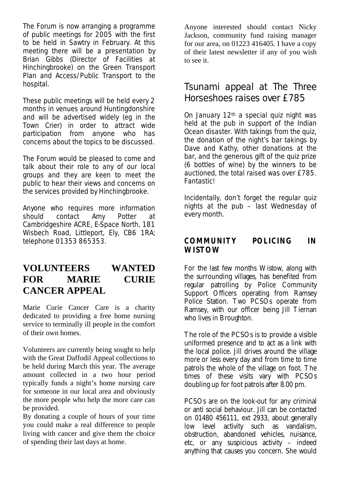The Forum is now arranging a programme of public meetings for 2005 with the first to be held in Sawtry in February. At this meeting there will be a presentation by Brian Gibbs (Director of Facilities at Hinchingbrooke) on the Green Transport Plan and Access/Public Transport to the hospital.

These public meetings will be held every 2 months in venues around Huntingdonshire and will be advertised widely (eg in the Town Crier) in order to attract wide participation from anyone who has concerns about the topics to be discussed.

The Forum would be pleased to come and talk about their role to any of our local groups and they are keen to meet the public to hear their views and concerns on the services provided by Hinchingbrooke.

Anyone who requires more information should contact Amy Potter at Cambridgeshire ACRE, E-Space North, 181 Wisbech Road, Littleport, Ely, CB6 1RA; telephone 01353 865353.

### **VOLUNTEERS WANTED FOR MARIE CURIE CANCER APPEAL**

Marie Curie Cancer Care is a charity dedicated to providing a free home nursing service to terminally ill people in the comfort of their own homes.

Volunteers are currently being sought to help with the Great Daffodil Appeal collections to be held during March this year. The average amount collected in a two hour period typically funds a night's home nursing care for someone in our local area and obviously the more people who help the more care can be provided.

By donating a couple of hours of your time you could make a real difference to people living with cancer and give them the choice of spending their last days at home.

Anyone interested should contact Nicky Jackson, community fund raising manager for our area, on 01223 416405. I have a copy of their latest newsletter if any of you wish to see it.

## Tsunami appeal at The Three Horseshoes raises over £785

On January 12<sup>th</sup> a special quiz night was held at the pub in support of the Indian Ocean disaster. With takings from the quiz, the donation of the night's bar takings by Dave and Kathy, other donations at the bar, and the generous gift of the quiz prize (6 bottles of wine) by the winners to be auctioned, the total raised was over £785. Fantastic!

Incidentally, don't forget the regular quiz nights at the pub – last Wednesday of every month.

#### **COMMUNITY POLICING IN WISTOW**

For the last few months Wistow, along with the surrounding villages, has benefited from regular patrolling by Police Community Support Officers operating from Ramsey Police Station. Two PCSOs operate from Ramsey, with our officer being Jill Tiernan who lives in Broughton.

The role of the PCSOs is to provide a visible uniformed presence and to act as a link with the local police. Jill drives around the village more or less every day and from time to time patrols the whole of the village on foot. The times of these visits vary with PCSOs doubling up for foot patrols after 8.00 pm.

PCSOs are on the look-out for any criminal or anti social behaviour. Jill can be contacted on 01480 456111, ext 2933, about generally low level activity such as vandalism, obstruction, abandoned vehicles, nuisance, etc, or any suspicious activity – indeed anything that causes you concern. She would